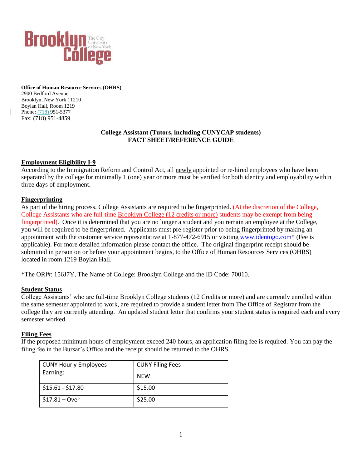

**Office of Human Resource Services (OHRS)** 2900 Bedford Avenue Brooklyn, New York 11210 Boylan Hall, Room 1219 Phone: (718) 951-5377 Fax: (718) 951-4859

### **College Assistant (Tutors, including CUNYCAP students) FACT SHEET/REFERENCE GUIDE**

## **Employment Eligibility I-9**

According to the Immigration Reform and Control Act, all newly appointed or re-hired employees who have been separated by the college for minimally 1 (one) year or more must be verified for both identity and employability within three days of employment.

### **Fingerprinting**

As part of the hiring process, College Assistants are required to be fingerprinted. (At the discretion of the College, College Assistants who are full-time Brooklyn College (12 credits or more) students may be exempt from being fingerprinted). Once it is determined that you are no longer a student and you remain an employee at the College, you will be required to be fingerprinted. Applicants must pre-register prior to being fingerprinted by making an appointment with the customer service representative at 1-877-472-6915 or visiting [www.identogo.com\\*](http://www.identogo.com/) (Fee is applicable). For more detailed information please contact the office. The original fingerprint receipt should be submitted in person on or before your appointment begins, to the Office of Human Resources Services (OHRS) located in room 1219 Boylan Hall.

\*The ORI#: 156J7Y, The Name of College: Brooklyn College and the ID Code: 70010.

### **Student Status**

College Assistants' who are full-time Brooklyn College students (12 Credits or more) and are currently enrolled within the same semester appointed to work, are required to provide a student letter from The Office of Registrar from the college they are currently attending. An updated student letter that confirms your student status is required each and every semester worked.

### **Filing Fees**

If the proposed minimum hours of employment exceed 240 hours, an application filing fee is required. You can pay the filing fee in the Bursar's Office and the receipt should be returned to the OHRS.

| <b>CUNY Hourly Employees</b> | <b>CUNY Filing Fees</b> |
|------------------------------|-------------------------|
| Earning:                     | NEW                     |
| $$15.61 - $17.80$            | \$15.00                 |
| $$17.81 - Over$              | \$25.00                 |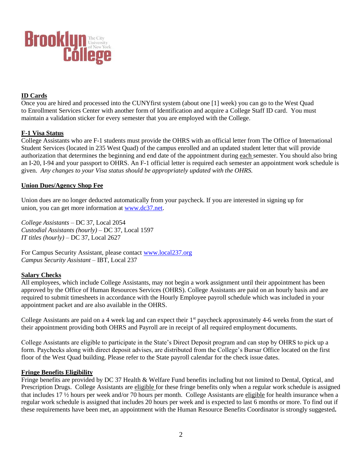

# **ID Cards**

Once you are hired and processed into the CUNYfirst system (about one [1] week) you can go to the West Quad to Enrollment Services Center with another form of Identification and acquire a College Staff ID card. You must maintain a validation sticker for every semester that you are employed with the College.

### **F-1 Visa Status**

College Assistants who are F-1 students must provide the OHRS with an official letter from The Office of International Student Services (located in 235 West Quad) of the campus enrolled and an updated student letter that will provide authorization that determines the beginning and end date of the appointment during each semester. You should also bring an I-20, I-94 and your passport to OHRS. An F-1 official letter is required each semester an appointment work schedule is given. *Any changes to your Visa status should be appropriately updated with the OHRS.*

## **Union Dues/Agency Shop Fee**

Union dues are no longer deducted automatically from your paycheck. If you are interested in signing up for union, you can get more information at [www.dc37.net.](http://www.dc37.net/)

*College Assistants* – DC 37, Local 2054 *Custodial Assistants (hourly)* – DC 37, Local 1597 *IT titles (hourly)* – DC 37, Local 2627

For Campus Security Assistant, please contact [www.local237.org](http://www.local237.org/)  *Campus Security Assistant* – IBT, Local 237

### **Salary Checks**

All employees, which include College Assistants, may not begin a work assignment until their appointment has been approved by the Office of Human Resources Services (OHRS). College Assistants are paid on an hourly basis and are required to submit timesheets in accordance with the Hourly Employee payroll schedule which was included in your appointment packet and are also available in the OHRS.

College Assistants are paid on a 4 week lag and can expect their 1<sup>st</sup> paycheck approximately 4-6 weeks from the start of their appointment providing both OHRS and Payroll are in receipt of all required employment documents.

College Assistants are eligible to participate in the State's Direct Deposit program and can stop by OHRS to pick up a form. Paychecks along with direct deposit advises, are distributed from the College's Bursar Office located on the first floor of the West Quad building. Please refer to the State payroll calendar for the check issue dates.

### **Fringe Benefits Eligibility**

Fringe benefits are provided by DC 37 Health & Welfare Fund benefits including but not limited to Dental, Optical, and Prescription Drugs. College Assistants are eligible for these fringe benefits only when a regular work schedule is assigned that includes 17 ½ hours per week and/or 70 hours per month. College Assistants are eligible for health insurance when a regular work schedule is assigned that includes 20 hours per week and is expected to last 6 months or more. To find out if these requirements have been met, an appointment with the Human Resource Benefits Coordinator is strongly suggested**.**